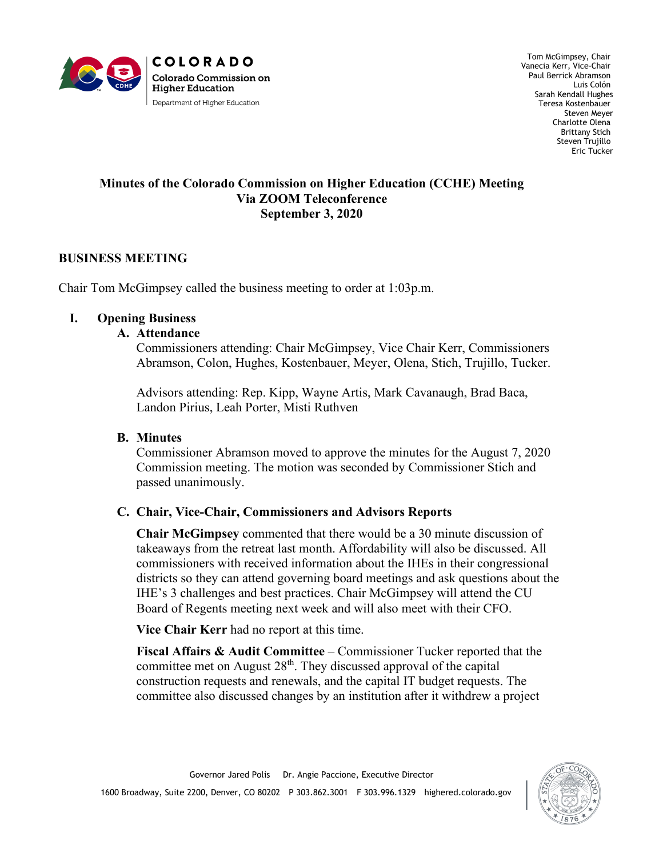

Tom McGimpsey, Chair Vanecia Kerr, Vice-Chair Paul Berrick Abramson Luis Colón Sarah Kendall Hughes Teresa Kostenbauer Steven Meyer Charlotte Olena Brittany Stich Steven Trujillo Eric Tucker

#### **Minutes of the Colorado Commission on Higher Education (CCHE) Meeting Via ZOOM Teleconference September 3, 2020**

# **BUSINESS MEETING**

Chair Tom McGimpsey called the business meeting to order at 1:03p.m.

#### **I. Opening Business**

#### **A. Attendance**

Commissioners attending: Chair McGimpsey, Vice Chair Kerr, Commissioners Abramson, Colon, Hughes, Kostenbauer, Meyer, Olena, Stich, Trujillo, Tucker.

Advisors attending: Rep. Kipp, Wayne Artis, Mark Cavanaugh, Brad Baca, Landon Pirius, Leah Porter, Misti Ruthven

## **B. Minutes**

Commissioner Abramson moved to approve the minutes for the August 7, 2020 Commission meeting. The motion was seconded by Commissioner Stich and passed unanimously.

## **C. Chair, Vice-Chair, Commissioners and Advisors Reports**

**Chair McGimpsey** commented that there would be a 30 minute discussion of takeaways from the retreat last month. Affordability will also be discussed. All commissioners with received information about the IHEs in their congressional districts so they can attend governing board meetings and ask questions about the IHE's 3 challenges and best practices. Chair McGimpsey will attend the CU Board of Regents meeting next week and will also meet with their CFO.

**Vice Chair Kerr** had no report at this time.

**Fiscal Affairs & Audit Committee** – Commissioner Tucker reported that the committee met on August 28<sup>th</sup>. They discussed approval of the capital construction requests and renewals, and the capital IT budget requests. The committee also discussed changes by an institution after it withdrew a project

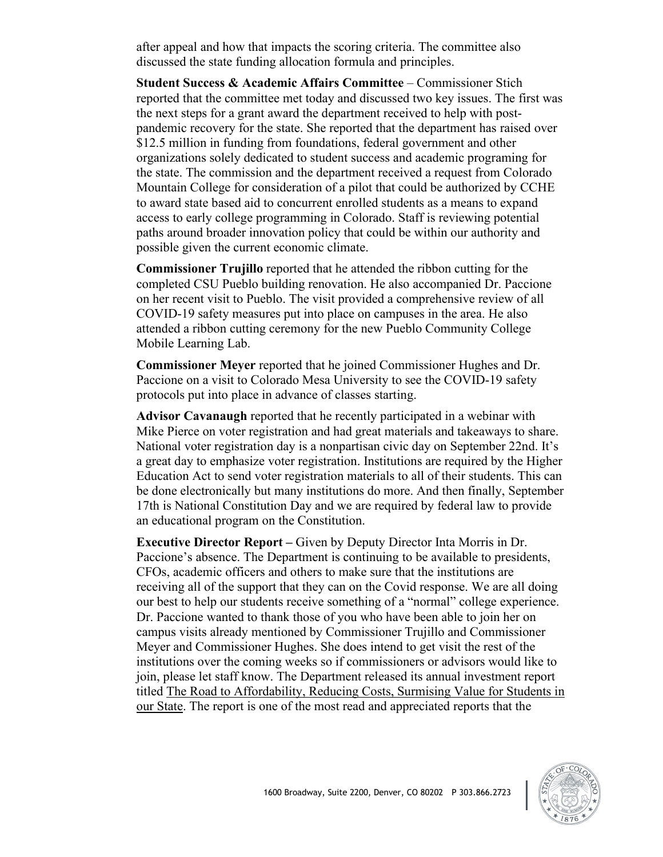after appeal and how that impacts the scoring criteria. The committee also discussed the state funding allocation formula and principles.

**Student Success & Academic Affairs Committee** – Commissioner Stich reported that the committee met today and discussed two key issues. The first was the next steps for a grant award the department received to help with postpandemic recovery for the state. She reported that the department has raised over \$12.5 million in funding from foundations, federal government and other organizations solely dedicated to student success and academic programing for the state. The commission and the department received a request from Colorado Mountain College for consideration of a pilot that could be authorized by CCHE to award state based aid to concurrent enrolled students as a means to expand access to early college programming in Colorado. Staff is reviewing potential paths around broader innovation policy that could be within our authority and possible given the current economic climate.

**Commissioner Trujillo** reported that he attended the ribbon cutting for the completed CSU Pueblo building renovation. He also accompanied Dr. Paccione on her recent visit to Pueblo. The visit provided a comprehensive review of all COVID-19 safety measures put into place on campuses in the area. He also attended a ribbon cutting ceremony for the new Pueblo Community College Mobile Learning Lab.

**Commissioner Meyer** reported that he joined Commissioner Hughes and Dr. Paccione on a visit to Colorado Mesa University to see the COVID-19 safety protocols put into place in advance of classes starting.

**Advisor Cavanaugh** reported that he recently participated in a webinar with Mike Pierce on voter registration and had great materials and takeaways to share. National voter registration day is a nonpartisan civic day on September 22nd. It's a great day to emphasize voter registration. Institutions are required by the Higher Education Act to send voter registration materials to all of their students. This can be done electronically but many institutions do more. And then finally, September 17th is National Constitution Day and we are required by federal law to provide an educational program on the Constitution.

**Executive Director Report –** Given by Deputy Director Inta Morris in Dr. Paccione's absence. The Department is continuing to be available to presidents, CFOs, academic officers and others to make sure that the institutions are receiving all of the support that they can on the Covid response. We are all doing our best to help our students receive something of a "normal" college experience. Dr. Paccione wanted to thank those of you who have been able to join her on campus visits already mentioned by Commissioner Trujillo and Commissioner Meyer and Commissioner Hughes. She does intend to get visit the rest of the institutions over the coming weeks so if commissioners or advisors would like to join, please let staff know. The Department released its annual investment report titled The Road to Affordability, Reducing Costs, Surmising Value for Students in our State. The report is one of the most read and appreciated reports that the

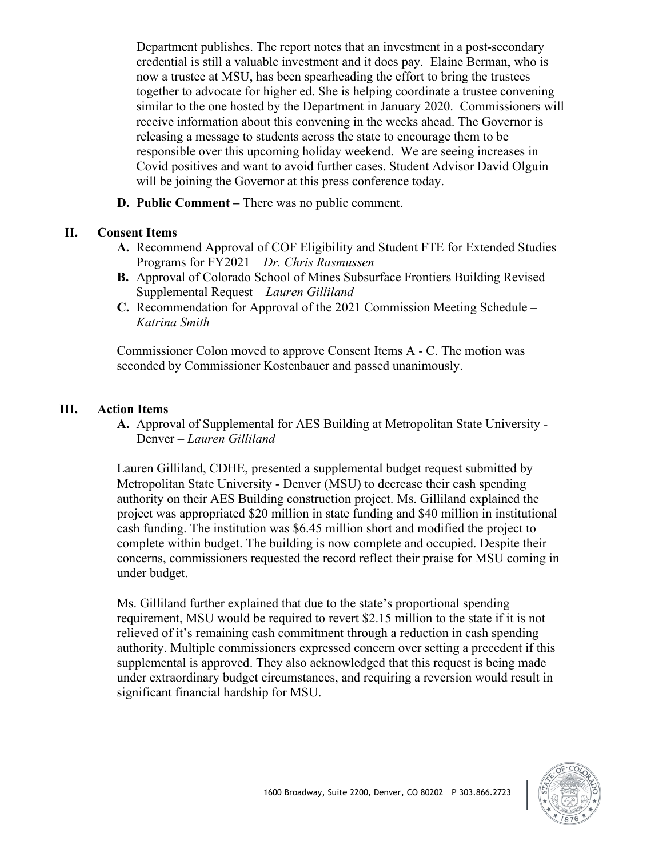Department publishes. The report notes that an investment in a post-secondary credential is still a valuable investment and it does pay. Elaine Berman, who is now a trustee at MSU, has been spearheading the effort to bring the trustees together to advocate for higher ed. She is helping coordinate a trustee convening similar to the one hosted by the Department in January 2020. Commissioners will receive information about this convening in the weeks ahead. The Governor is releasing a message to students across the state to encourage them to be responsible over this upcoming holiday weekend. We are seeing increases in Covid positives and want to avoid further cases. Student Advisor David Olguin will be joining the Governor at this press conference today.

**D. Public Comment –** There was no public comment.

## **II. Consent Items**

- **A.** Recommend Approval of COF Eligibility and Student FTE for Extended Studies Programs for FY2021 – *Dr. Chris Rasmussen*
- **B.** Approval of Colorado School of Mines Subsurface Frontiers Building Revised Supplemental Request – *Lauren Gilliland*
- **C.** Recommendation for Approval of the 2021 Commission Meeting Schedule *Katrina Smith*

Commissioner Colon moved to approve Consent Items A - C. The motion was seconded by Commissioner Kostenbauer and passed unanimously.

# **III. Action Items**

**A.** Approval of Supplemental for AES Building at Metropolitan State University - Denver – *Lauren Gilliland*

Lauren Gilliland, CDHE, presented a supplemental budget request submitted by Metropolitan State University - Denver (MSU) to decrease their cash spending authority on their AES Building construction project. Ms. Gilliland explained the project was appropriated \$20 million in state funding and \$40 million in institutional cash funding. The institution was \$6.45 million short and modified the project to complete within budget. The building is now complete and occupied. Despite their concerns, commissioners requested the record reflect their praise for MSU coming in under budget.

Ms. Gilliland further explained that due to the state's proportional spending requirement, MSU would be required to revert \$2.15 million to the state if it is not relieved of it's remaining cash commitment through a reduction in cash spending authority. Multiple commissioners expressed concern over setting a precedent if this supplemental is approved. They also acknowledged that this request is being made under extraordinary budget circumstances, and requiring a reversion would result in significant financial hardship for MSU.

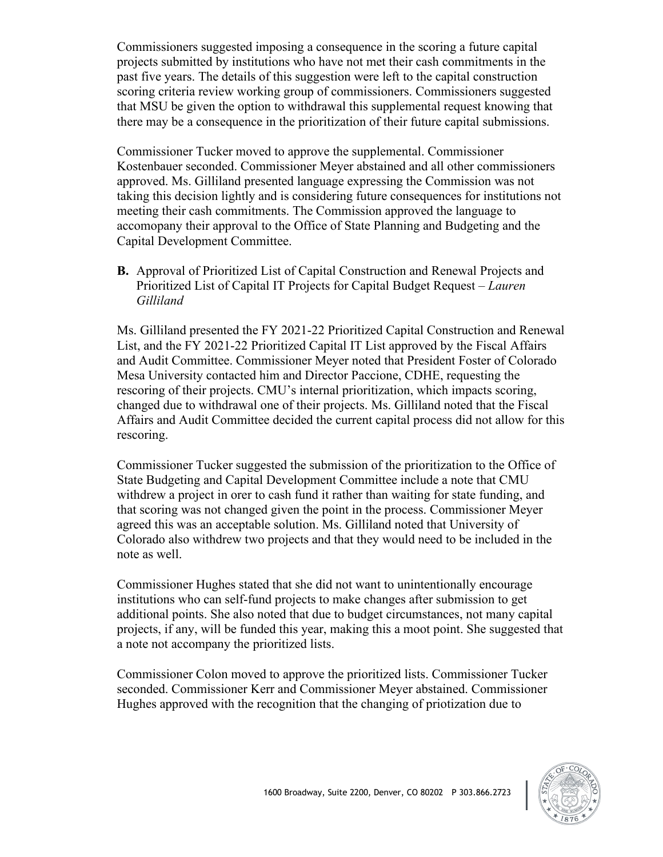Commissioners suggested imposing a consequence in the scoring a future capital projects submitted by institutions who have not met their cash commitments in the past five years. The details of this suggestion were left to the capital construction scoring criteria review working group of commissioners. Commissioners suggested that MSU be given the option to withdrawal this supplemental request knowing that there may be a consequence in the prioritization of their future capital submissions.

Commissioner Tucker moved to approve the supplemental. Commissioner Kostenbauer seconded. Commissioner Meyer abstained and all other commissioners approved. Ms. Gilliland presented language expressing the Commission was not taking this decision lightly and is considering future consequences for institutions not meeting their cash commitments. The Commission approved the language to accomopany their approval to the Office of State Planning and Budgeting and the Capital Development Committee.

**B.** Approval of Prioritized List of Capital Construction and Renewal Projects and Prioritized List of Capital IT Projects for Capital Budget Request – *Lauren Gilliland*

Ms. Gilliland presented the FY 2021-22 Prioritized Capital Construction and Renewal List, and the FY 2021-22 Prioritized Capital IT List approved by the Fiscal Affairs and Audit Committee. Commissioner Meyer noted that President Foster of Colorado Mesa University contacted him and Director Paccione, CDHE, requesting the rescoring of their projects. CMU's internal prioritization, which impacts scoring, changed due to withdrawal one of their projects. Ms. Gilliland noted that the Fiscal Affairs and Audit Committee decided the current capital process did not allow for this rescoring.

Commissioner Tucker suggested the submission of the prioritization to the Office of State Budgeting and Capital Development Committee include a note that CMU withdrew a project in orer to cash fund it rather than waiting for state funding, and that scoring was not changed given the point in the process. Commissioner Meyer agreed this was an acceptable solution. Ms. Gilliland noted that University of Colorado also withdrew two projects and that they would need to be included in the note as well.

Commissioner Hughes stated that she did not want to unintentionally encourage institutions who can self-fund projects to make changes after submission to get additional points. She also noted that due to budget circumstances, not many capital projects, if any, will be funded this year, making this a moot point. She suggested that a note not accompany the prioritized lists.

Commissioner Colon moved to approve the prioritized lists. Commissioner Tucker seconded. Commissioner Kerr and Commissioner Meyer abstained. Commissioner Hughes approved with the recognition that the changing of priotization due to